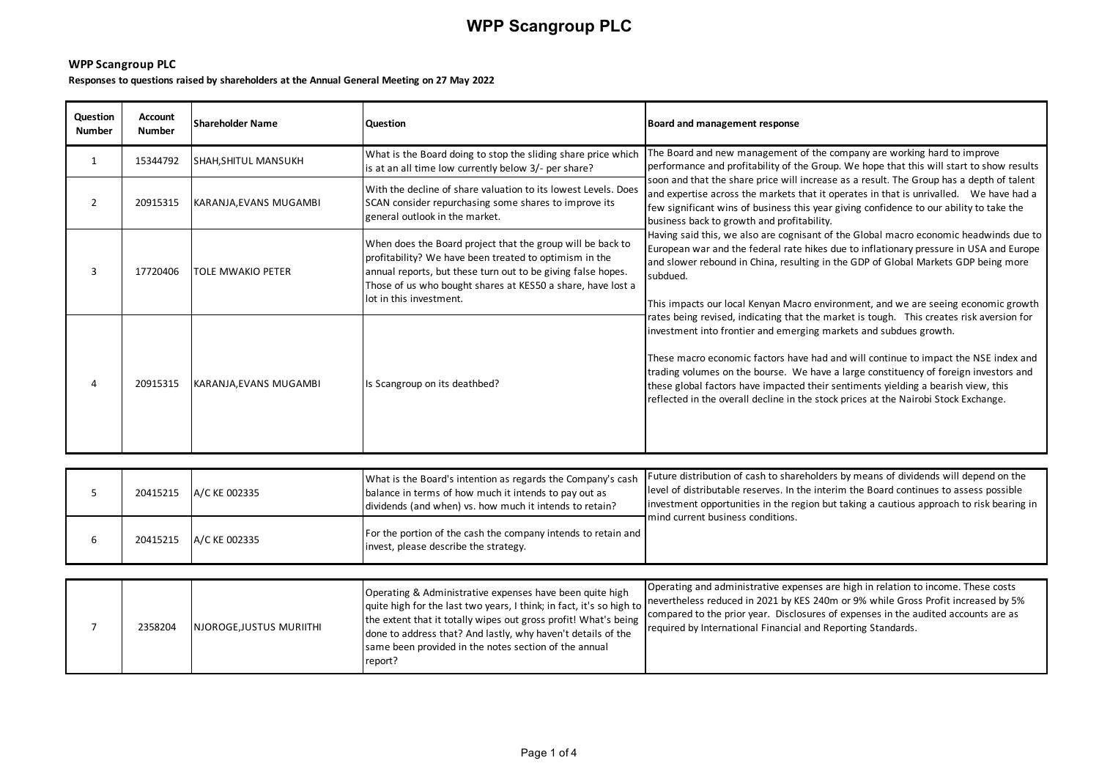### **WPP Scangroup PLC**

**Responses to questions raised by shareholders at the Annual General Meeting on 27 May 2022**

| Question<br><b>Number</b> | <b>Account</b><br><b>Number</b> | <b>Shareholder Name</b>  | <b>Question</b>                                                                                                                                                                                                                                                                | Board and management response                                                                                                                                                                                                                                                                                                                                                                                                                                                                                            |
|---------------------------|---------------------------------|--------------------------|--------------------------------------------------------------------------------------------------------------------------------------------------------------------------------------------------------------------------------------------------------------------------------|--------------------------------------------------------------------------------------------------------------------------------------------------------------------------------------------------------------------------------------------------------------------------------------------------------------------------------------------------------------------------------------------------------------------------------------------------------------------------------------------------------------------------|
| 1                         | 15344792                        | SHAH, SHITUL MANSUKH     | What is the Board doing to stop the sliding share price which<br>is at an all time low currently below 3/- per share?                                                                                                                                                          | The Board and new management of the company are working hard to improve<br>performance and profitability of the Group. We hope that this will start to show results                                                                                                                                                                                                                                                                                                                                                      |
|                           | 20915315                        | KARANJA, EVANS MUGAMBI   | With the decline of share valuation to its lowest Levels. Does<br>SCAN consider repurchasing some shares to improve its<br>general outlook in the market.                                                                                                                      | soon and that the share price will increase as a result. The Group has a depth of talent<br>and expertise across the markets that it operates in that is unrivalled. We have had a<br>few significant wins of business this year giving confidence to our ability to take the<br>business back to growth and profitability.                                                                                                                                                                                              |
| 3                         | 17720406                        | <b>TOLE MWAKIO PETER</b> | When does the Board project that the group will be back to<br>profitability? We have been treated to optimism in the<br>annual reports, but these turn out to be giving false hopes.<br>Those of us who bought shares at KES50 a share, have lost a<br>lot in this investment. | Having said this, we also are cognisant of the Global macro economic headwinds due to<br>European war and the federal rate hikes due to inflationary pressure in USA and Europe<br>and slower rebound in China, resulting in the GDP of Global Markets GDP being more<br>subdued.<br>This impacts our local Kenyan Macro environment, and we are seeing economic growth                                                                                                                                                  |
|                           | 20915315                        | KARANJA, EVANS MUGAMBI   | Is Scangroup on its deathbed?                                                                                                                                                                                                                                                  | rates being revised, indicating that the market is tough. This creates risk aversion for<br>investment into frontier and emerging markets and subdues growth.<br>These macro economic factors have had and will continue to impact the NSE index and<br>trading volumes on the bourse. We have a large constituency of foreign investors and<br>these global factors have impacted their sentiments yielding a bearish view, this<br>reflected in the overall decline in the stock prices at the Nairobi Stock Exchange. |

|  | 20415215 A/C KE 002335 | What is the Board's intention as regards the Company's cash<br>balance in terms of how much it intends to pay out as<br>dividends (and when) vs. how much it intends to retain? | Future distribution of cash to shareholders by means of dividends will depend on the<br>level of distributable reserves. In the interim the Board continues to assess possible<br>investment opportunities in the region but taking a cautious approach to risk bearing in<br>mind current business conditions. |
|--|------------------------|---------------------------------------------------------------------------------------------------------------------------------------------------------------------------------|-----------------------------------------------------------------------------------------------------------------------------------------------------------------------------------------------------------------------------------------------------------------------------------------------------------------|
|  | 20415215 A/C KE 002335 | For the portion of the cash the company intends to retain and<br>invest, please describe the strategy.                                                                          |                                                                                                                                                                                                                                                                                                                 |

|  | 2358204 | NJOROGE, JUSTUS MURIITHI | Operating & Administrative expenses have been quite high<br>the extent that it totally wipes out gross profit! What's being<br>done to address that? And lastly, why haven't details of the<br>same been provided in the notes section of the annual<br>report? | Operating and administrative expenses are high in relation to income. These costs<br>quite high for the last two years, I think; in fact, it's so high to nevertheless reduced in 2021 by KES 240m or 9% while Gross Profit increased by 5%<br>compared to the prior year. Disclosures of expenses in the audited accounts are as<br>required by International Financial and Reporting Standards. |
|--|---------|--------------------------|-----------------------------------------------------------------------------------------------------------------------------------------------------------------------------------------------------------------------------------------------------------------|---------------------------------------------------------------------------------------------------------------------------------------------------------------------------------------------------------------------------------------------------------------------------------------------------------------------------------------------------------------------------------------------------|
|--|---------|--------------------------|-----------------------------------------------------------------------------------------------------------------------------------------------------------------------------------------------------------------------------------------------------------------|---------------------------------------------------------------------------------------------------------------------------------------------------------------------------------------------------------------------------------------------------------------------------------------------------------------------------------------------------------------------------------------------------|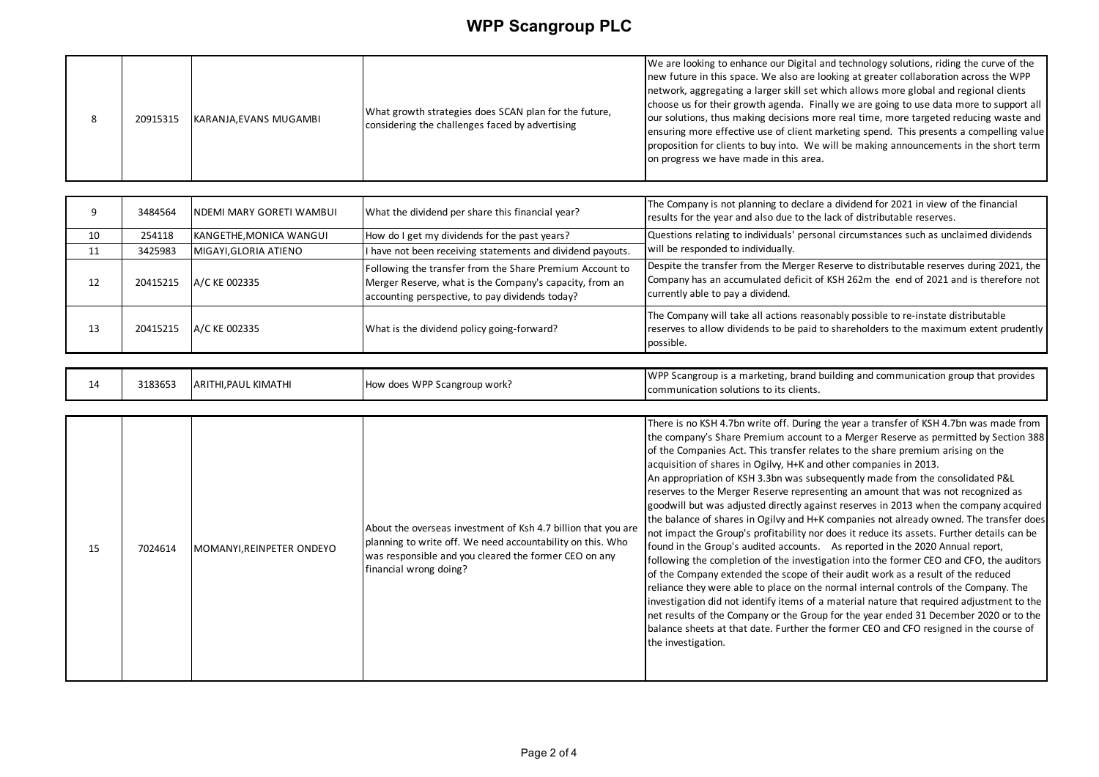|  | 20915315 | KARANJA, EVANS MUGAMBI | What growth strategies does SCAN plan for the future,<br>considering the challenges faced by advertising | We are looking to enhance our Digital and technology solutions, riding the curve of the<br>new future in this space. We also are looking at greater collaboration across the WPP<br>network, aggregating a larger skill set which allows more global and regional clients<br>choose us for their growth agenda. Finally we are going to use data more to support all<br>our solutions, thus making decisions more real time, more targeted reducing waste and<br>ensuring more effective use of client marketing spend. This presents a compelling value<br>proposition for clients to buy into. We will be making announcements in the short term<br>on progress we have made in this area. |
|--|----------|------------------------|----------------------------------------------------------------------------------------------------------|----------------------------------------------------------------------------------------------------------------------------------------------------------------------------------------------------------------------------------------------------------------------------------------------------------------------------------------------------------------------------------------------------------------------------------------------------------------------------------------------------------------------------------------------------------------------------------------------------------------------------------------------------------------------------------------------|
|--|----------|------------------------|----------------------------------------------------------------------------------------------------------|----------------------------------------------------------------------------------------------------------------------------------------------------------------------------------------------------------------------------------------------------------------------------------------------------------------------------------------------------------------------------------------------------------------------------------------------------------------------------------------------------------------------------------------------------------------------------------------------------------------------------------------------------------------------------------------------|

|    | 3484564  | NDEMI MARY GORETI WAMBUI | What the dividend per share this financial year?                                                                                                                       | The Company is not planning to declare a dividend for 2021 in view of the financial<br>results for the year and also due to the lack of distributable reserves.                                                     |
|----|----------|--------------------------|------------------------------------------------------------------------------------------------------------------------------------------------------------------------|---------------------------------------------------------------------------------------------------------------------------------------------------------------------------------------------------------------------|
| 10 | 254118   | KANGETHE, MONICA WANGUI  | How do I get my dividends for the past years?                                                                                                                          | Questions relating to individuals' personal circumstances such as unclaimed dividends                                                                                                                               |
| 11 | 3425983  | MIGAYI, GLORIA ATIENO    | I have not been receiving statements and dividend payouts.                                                                                                             | will be responded to individually.                                                                                                                                                                                  |
| 12 | 20415215 | A/C KE 002335            | Following the transfer from the Share Premium Account to<br>Merger Reserve, what is the Company's capacity, from an<br>accounting perspective, to pay dividends today? | Despite the transfer from the Merger Reserve to distributable reserves during 2021, the<br>Company has an accumulated deficit of KSH 262m the end of 2021 and is therefore not<br>currently able to pay a dividend. |
| 13 | 20415215 | A/C KE 002335            | What is the dividend policy going-forward?                                                                                                                             | The Company will take all actions reasonably possible to re-instate distributable<br>reserves to allow dividends to be paid to shareholders to the maximum extent prudently<br>possible.                            |

| 3183653<br>does WPP<br><b>ARIT</b><br>How<br>. KIMATHI<br>.PAUL<br>14<br>' Scangroup work? | <b>WPP</b><br>' Scangroup is a marketing, brand building and communication group that provides<br>communication solutions to its clients. |
|--------------------------------------------------------------------------------------------|-------------------------------------------------------------------------------------------------------------------------------------------|
|--------------------------------------------------------------------------------------------|-------------------------------------------------------------------------------------------------------------------------------------------|

| 15 | 7024614 | MOMANYI,REINPETER ONDEYO | About the overseas investment of Ksh 4.7 billion that you are<br>planning to write off. We need accountability on this. Who<br>was responsible and you cleared the former CEO on any<br>financial wrong doing? | There is no KSH 4.7bn write off. During the year a transfer of KSH 4.7bn was made from<br>the company's Share Premium account to a Merger Reserve as permitted by Section 388<br>of the Companies Act. This transfer relates to the share premium arising on the<br>acquisition of shares in Ogilvy, H+K and other companies in 2013.<br>An appropriation of KSH 3.3bn was subsequently made from the consolidated P&L<br>reserves to the Merger Reserve representing an amount that was not recognized as<br>goodwill but was adjusted directly against reserves in 2013 when the company acquired<br>the balance of shares in Ogilvy and H+K companies not already owned. The transfer does<br>not impact the Group's profitability nor does it reduce its assets. Further details can be<br>found in the Group's audited accounts. As reported in the 2020 Annual report,<br>following the completion of the investigation into the former CEO and CFO, the auditors<br>of the Company extended the scope of their audit work as a result of the reduced<br>reliance they were able to place on the normal internal controls of the Company. The<br>investigation did not identify items of a material nature that required adjustment to the<br>net results of the Company or the Group for the year ended 31 December 2020 or to the<br>balance sheets at that date. Further the former CEO and CFO resigned in the course of<br>the investigation. |
|----|---------|--------------------------|----------------------------------------------------------------------------------------------------------------------------------------------------------------------------------------------------------------|----------------------------------------------------------------------------------------------------------------------------------------------------------------------------------------------------------------------------------------------------------------------------------------------------------------------------------------------------------------------------------------------------------------------------------------------------------------------------------------------------------------------------------------------------------------------------------------------------------------------------------------------------------------------------------------------------------------------------------------------------------------------------------------------------------------------------------------------------------------------------------------------------------------------------------------------------------------------------------------------------------------------------------------------------------------------------------------------------------------------------------------------------------------------------------------------------------------------------------------------------------------------------------------------------------------------------------------------------------------------------------------------------------------------------------------------------------|
|----|---------|--------------------------|----------------------------------------------------------------------------------------------------------------------------------------------------------------------------------------------------------------|----------------------------------------------------------------------------------------------------------------------------------------------------------------------------------------------------------------------------------------------------------------------------------------------------------------------------------------------------------------------------------------------------------------------------------------------------------------------------------------------------------------------------------------------------------------------------------------------------------------------------------------------------------------------------------------------------------------------------------------------------------------------------------------------------------------------------------------------------------------------------------------------------------------------------------------------------------------------------------------------------------------------------------------------------------------------------------------------------------------------------------------------------------------------------------------------------------------------------------------------------------------------------------------------------------------------------------------------------------------------------------------------------------------------------------------------------------|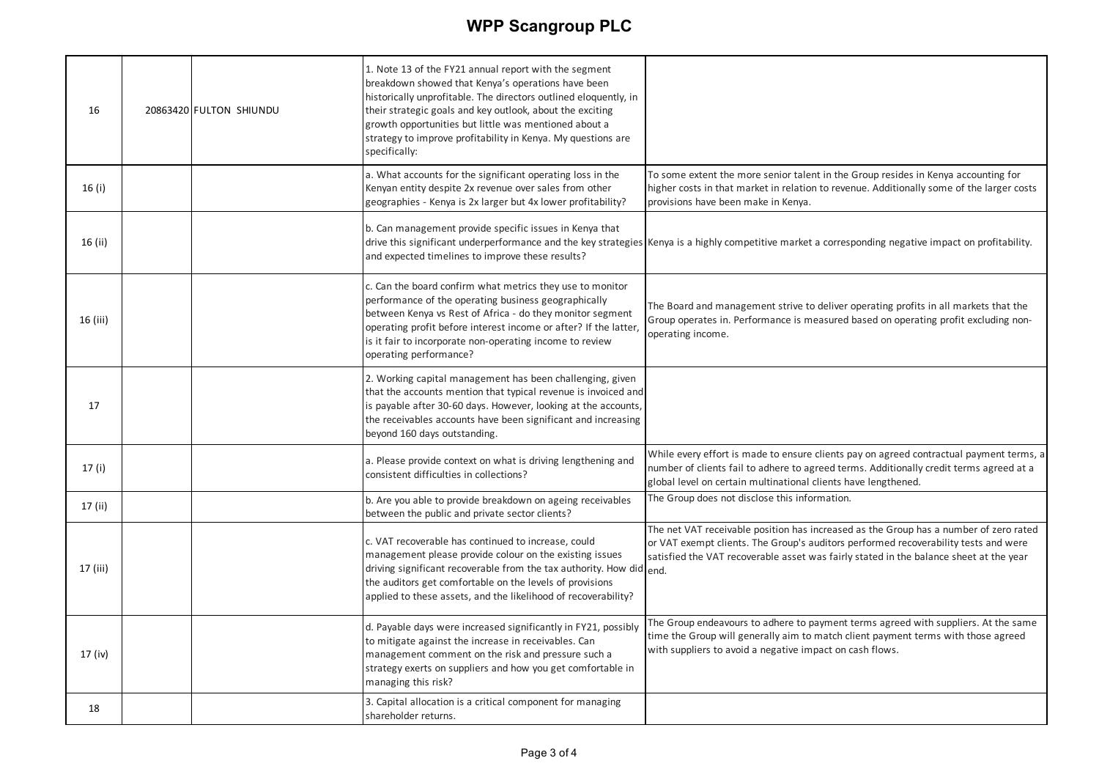| 16       | 20863420 FULTON SHIUNDU | 1. Note 13 of the FY21 annual report with the segment<br>breakdown showed that Kenya's operations have been<br>historically unprofitable. The directors outlined eloquently, in<br>their strategic goals and key outlook, about the exciting<br>growth opportunities but little was mentioned about a                                    |                                                                                                                                                                                                                                                                        |
|----------|-------------------------|------------------------------------------------------------------------------------------------------------------------------------------------------------------------------------------------------------------------------------------------------------------------------------------------------------------------------------------|------------------------------------------------------------------------------------------------------------------------------------------------------------------------------------------------------------------------------------------------------------------------|
|          |                         | strategy to improve profitability in Kenya. My questions are<br>specifically:                                                                                                                                                                                                                                                            |                                                                                                                                                                                                                                                                        |
| 16 (i)   |                         | a. What accounts for the significant operating loss in the<br>Kenyan entity despite 2x revenue over sales from other<br>geographies - Kenya is 2x larger but 4x lower profitability?                                                                                                                                                     | To some extent the more senior talent in the Group resides in Kenya accounting for<br>higher costs in that market in relation to revenue. Additionally some of the larger costs<br>provisions have been make in Kenya.                                                 |
| 16 (ii)  |                         | b. Can management provide specific issues in Kenya that<br>and expected timelines to improve these results?                                                                                                                                                                                                                              | drive this significant underperformance and the key strategies Kenya is a highly competitive market a corresponding negative impact on profitability.                                                                                                                  |
| 16 (iii) |                         | c. Can the board confirm what metrics they use to monitor<br>performance of the operating business geographically<br>between Kenya vs Rest of Africa - do they monitor segment<br>operating profit before interest income or after? If the latter,<br>is it fair to incorporate non-operating income to review<br>operating performance? | The Board and management strive to deliver operating profits in all markets that the<br>Group operates in. Performance is measured based on operating profit excluding non-<br>operating income.                                                                       |
| 17       |                         | 2. Working capital management has been challenging, given<br>that the accounts mention that typical revenue is invoiced and<br>is payable after 30-60 days. However, looking at the accounts,<br>the receivables accounts have been significant and increasing<br>beyond 160 days outstanding.                                           |                                                                                                                                                                                                                                                                        |
| 17(i)    |                         | a. Please provide context on what is driving lengthening and<br>consistent difficulties in collections?                                                                                                                                                                                                                                  | While every effort is made to ensure clients pay on agreed contractual payment terms, a<br>number of clients fail to adhere to agreed terms. Additionally credit terms agreed at a<br>global level on certain multinational clients have lengthened.                   |
| 17 (ii)  |                         | b. Are you able to provide breakdown on ageing receivables<br>between the public and private sector clients?                                                                                                                                                                                                                             | The Group does not disclose this information.                                                                                                                                                                                                                          |
| 17 (iii) |                         | c. VAT recoverable has continued to increase, could<br>management please provide colour on the existing issues<br>driving significant recoverable from the tax authority. How did $_{\rm end.}$<br>the auditors get comfortable on the levels of provisions<br>applied to these assets, and the likelihood of recoverability?            | The net VAT receivable position has increased as the Group has a number of zero rated<br>or VAT exempt clients. The Group's auditors performed recoverability tests and were<br>satisfied the VAT recoverable asset was fairly stated in the balance sheet at the year |
| 17 (iv)  |                         | d. Payable days were increased significantly in FY21, possibly<br>to mitigate against the increase in receivables. Can<br>management comment on the risk and pressure such a<br>strategy exerts on suppliers and how you get comfortable in<br>managing this risk?                                                                       | The Group endeavours to adhere to payment terms agreed with suppliers. At the same<br>time the Group will generally aim to match client payment terms with those agreed<br>with suppliers to avoid a negative impact on cash flows.                                    |
| 18       |                         | 3. Capital allocation is a critical component for managing<br>shareholder returns.                                                                                                                                                                                                                                                       |                                                                                                                                                                                                                                                                        |